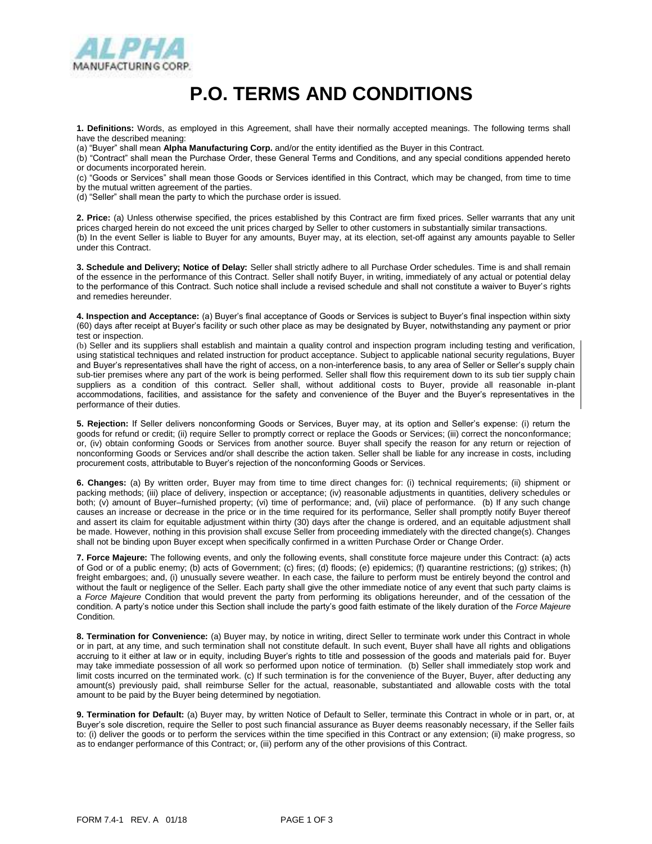

## **P.O. TERMS AND CONDITIONS**

**1. Definitions:** Words, as employed in this Agreement, shall have their normally accepted meanings. The following terms shall have the described meaning:

(a) "Buyer" shall mean **Alpha Manufacturing Corp.** and/or the entity identified as the Buyer in this Contract.

(b) "Contract" shall mean the Purchase Order, these General Terms and Conditions, and any special conditions appended hereto or documents incorporated herein.

(c) "Goods or Services" shall mean those Goods or Services identified in this Contract, which may be changed, from time to time by the mutual written agreement of the parties.

(d) "Seller" shall mean the party to which the purchase order is issued.

**2. Price:** (a) Unless otherwise specified, the prices established by this Contract are firm fixed prices. Seller warrants that any unit prices charged herein do not exceed the unit prices charged by Seller to other customers in substantially similar transactions. (b) In the event Seller is liable to Buyer for any amounts, Buyer may, at its election, set-off against any amounts payable to Seller under this Contract.

**3. Schedule and Delivery; Notice of Delay:** Seller shall strictly adhere to all Purchase Order schedules. Time is and shall remain of the essence in the performance of this Contract. Seller shall notify Buyer, in writing, immediately of any actual or potential delay to the performance of this Contract. Such notice shall include a revised schedule and shall not constitute a waiver to Buyer's rights and remedies hereunder.

**4. Inspection and Acceptance:** (a) Buyer's final acceptance of Goods or Services is subject to Buyer's final inspection within sixty (60) days after receipt at Buyer's facility or such other place as may be designated by Buyer, notwithstanding any payment or prior test or inspection.

(b) Seller and its suppliers shall establish and maintain a quality control and inspection program including testing and verification, using statistical techniques and related instruction for product acceptance. Subject to applicable national security regulations, Buyer and Buyer's representatives shall have the right of access, on a non-interference basis, to any area of Seller or Seller's supply chain sub-tier premises where any part of the work is being performed. Seller shall flow this requirement down to its sub tier supply chain suppliers as a condition of this contract. Seller shall, without additional costs to Buyer, provide all reasonable in-plant accommodations, facilities, and assistance for the safety and convenience of the Buyer and the Buyer's representatives in the performance of their duties.

**5. Rejection:** If Seller delivers nonconforming Goods or Services, Buyer may, at its option and Seller's expense: (i) return the goods for refund or credit; (ii) require Seller to promptly correct or replace the Goods or Services; (iii) correct the nonconformance; or, (iv) obtain conforming Goods or Services from another source. Buyer shall specify the reason for any return or rejection of nonconforming Goods or Services and/or shall describe the action taken. Seller shall be liable for any increase in costs, including procurement costs, attributable to Buyer's rejection of the nonconforming Goods or Services.

**6. Changes:** (a) By written order, Buyer may from time to time direct changes for: (i) technical requirements; (ii) shipment or packing methods; (iii) place of delivery, inspection or acceptance; (iv) reasonable adjustments in quantities, delivery schedules or both; (v) amount of Buyer–furnished property; (vi) time of performance; and, (vii) place of performance. (b) If any such change causes an increase or decrease in the price or in the time required for its performance, Seller shall promptly notify Buyer thereof and assert its claim for equitable adjustment within thirty (30) days after the change is ordered, and an equitable adjustment shall be made. However, nothing in this provision shall excuse Seller from proceeding immediately with the directed change(s). Changes shall not be binding upon Buyer except when specifically confirmed in a written Purchase Order or Change Order.

**7. Force Majeure:** The following events, and only the following events, shall constitute force majeure under this Contract: (a) acts of God or of a public enemy; (b) acts of Government; (c) fires; (d) floods; (e) epidemics; (f) quarantine restrictions; (g) strikes; (h) freight embargoes; and, (i) unusually severe weather. In each case, the failure to perform must be entirely beyond the control and without the fault or negligence of the Seller. Each party shall give the other immediate notice of any event that such party claims is a *Force Majeure* Condition that would prevent the party from performing its obligations hereunder, and of the cessation of the condition. A party's notice under this Section shall include the party's good faith estimate of the likely duration of the *Force Majeure*  Condition.

**8. Termination for Convenience:** (a) Buyer may, by notice in writing, direct Seller to terminate work under this Contract in whole or in part, at any time, and such termination shall not constitute default. In such event, Buyer shall have all rights and obligations accruing to it either at law or in equity, including Buyer's rights to title and possession of the goods and materials paid for. Buyer may take immediate possession of all work so performed upon notice of termination. (b) Seller shall immediately stop work and limit costs incurred on the terminated work. (c) If such termination is for the convenience of the Buyer, Buyer, after deducting any amount(s) previously paid, shall reimburse Seller for the actual, reasonable, substantiated and allowable costs with the total amount to be paid by the Buyer being determined by negotiation.

**9. Termination for Default:** (a) Buyer may, by written Notice of Default to Seller, terminate this Contract in whole or in part, or, at Buyer's sole discretion, require the Seller to post such financial assurance as Buyer deems reasonably necessary, if the Seller fails to: (i) deliver the goods or to perform the services within the time specified in this Contract or any extension; (ii) make progress, so as to endanger performance of this Contract; or, (iii) perform any of the other provisions of this Contract.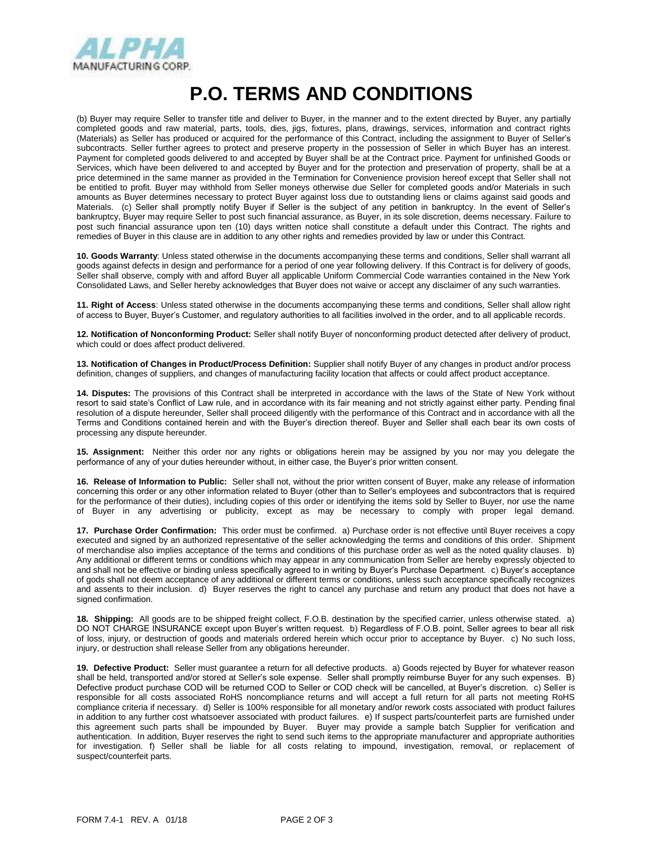

## **P.O. TERMS AND CONDITIONS**

(b) Buyer may require Seller to transfer title and deliver to Buyer, in the manner and to the extent directed by Buyer, any partially completed goods and raw material, parts, tools, dies, jigs, fixtures, plans, drawings, services, information and contract rights (Materials) as Seller has produced or acquired for the performance of this Contract, including the assignment to Buyer of Seller's subcontracts. Seller further agrees to protect and preserve property in the possession of Seller in which Buyer has an interest. Payment for completed goods delivered to and accepted by Buyer shall be at the Contract price. Payment for unfinished Goods or Services, which have been delivered to and accepted by Buyer and for the protection and preservation of property, shall be at a price determined in the same manner as provided in the Termination for Convenience provision hereof except that Seller shall not be entitled to profit. Buyer may withhold from Seller moneys otherwise due Seller for completed goods and/or Materials in such amounts as Buyer determines necessary to protect Buyer against loss due to outstanding liens or claims against said goods and Materials. (c) Seller shall promptly notify Buyer if Seller is the subject of any petition in bankruptcy. In the event of Seller's bankruptcy, Buyer may require Seller to post such financial assurance, as Buyer, in its sole discretion, deems necessary. Failure to post such financial assurance upon ten (10) days written notice shall constitute a default under this Contract. The rights and remedies of Buyer in this clause are in addition to any other rights and remedies provided by law or under this Contract.

**10. Goods Warranty**: Unless stated otherwise in the documents accompanying these terms and conditions, Seller shall warrant all goods against defects in design and performance for a period of one year following delivery. If this Contract is for delivery of goods, Seller shall observe, comply with and afford Buyer all applicable Uniform Commercial Code warranties contained in the New York Consolidated Laws, and Seller hereby acknowledges that Buyer does not waive or accept any disclaimer of any such warranties.

**11. Right of Access**: Unless stated otherwise in the documents accompanying these terms and conditions, Seller shall allow right of access to Buyer, Buyer's Customer, and regulatory authorities to all facilities involved in the order, and to all applicable records.

**12. Notification of Nonconforming Product:** Seller shall notify Buyer of nonconforming product detected after delivery of product, which could or does affect product delivered.

**13. Notification of Changes in Product/Process Definition:** Supplier shall notify Buyer of any changes in product and/or process definition, changes of suppliers, and changes of manufacturing facility location that affects or could affect product acceptance.

**14. Disputes:** The provisions of this Contract shall be interpreted in accordance with the laws of the State of New York without resort to said state's Conflict of Law rule, and in accordance with its fair meaning and not strictly against either party. Pending final resolution of a dispute hereunder, Seller shall proceed diligently with the performance of this Contract and in accordance with all the Terms and Conditions contained herein and with the Buyer's direction thereof. Buyer and Seller shall each bear its own costs of processing any dispute hereunder.

**15. Assignment:** Neither this order nor any rights or obligations herein may be assigned by you nor may you delegate the performance of any of your duties hereunder without, in either case, the Buyer's prior written consent.

**16. Release of Information to Public:** Seller shall not, without the prior written consent of Buyer, make any release of information concerning this order or any other information related to Buyer (other than to Seller's employees and subcontractors that is required for the performance of their duties), including copies of this order or identifying the items sold by Seller to Buyer, nor use the name of Buyer in any advertising or publicity, except as may be necessary to comply with proper legal demand.

**17. Purchase Order Confirmation:** This order must be confirmed. a) Purchase order is not effective until Buyer receives a copy executed and signed by an authorized representative of the seller acknowledging the terms and conditions of this order. Shipment of merchandise also implies acceptance of the terms and conditions of this purchase order as well as the noted quality clauses. b) Any additional or different terms or conditions which may appear in any communication from Seller are hereby expressly objected to and shall not be effective or binding unless specifically agreed to in writing by Buyer's Purchase Department. c) Buyer's acceptance of gods shall not deem acceptance of any additional or different terms or conditions, unless such acceptance specifically recognizes and assents to their inclusion. d) Buyer reserves the right to cancel any purchase and return any product that does not have a signed confirmation.

**18. Shipping:** All goods are to be shipped freight collect, F.O.B. destination by the specified carrier, unless otherwise stated. a) DO NOT CHARGE INSURANCE except upon Buyer's written request. b) Regardless of F.O.B. point, Seller agrees to bear all risk of loss, injury, or destruction of goods and materials ordered herein which occur prior to acceptance by Buyer. c) No such loss, injury, or destruction shall release Seller from any obligations hereunder.

**19. Defective Product:** Seller must guarantee a return for all defective products. a) Goods rejected by Buyer for whatever reason shall be held, transported and/or stored at Seller's sole expense. Seller shall promptly reimburse Buyer for any such expenses. B) Defective product purchase COD will be returned COD to Seller or COD check will be cancelled, at Buyer's discretion. c) Seller is responsible for all costs associated RoHS noncompliance returns and will accept a full return for all parts not meeting RoHS compliance criteria if necessary. d) Seller is 100% responsible for all monetary and/or rework costs associated with product failures in addition to any further cost whatsoever associated with product failures. e) If suspect parts/counterfeit parts are furnished under this agreement such parts shall be impounded by Buyer. Buyer may provide a sample batch Supplier for verification and authentication. In addition, Buyer reserves the right to send such items to the appropriate manufacturer and appropriate authorities for investigation. f) Seller shall be liable for all costs relating to impound, investigation, removal, or replacement of suspect/counterfeit parts.